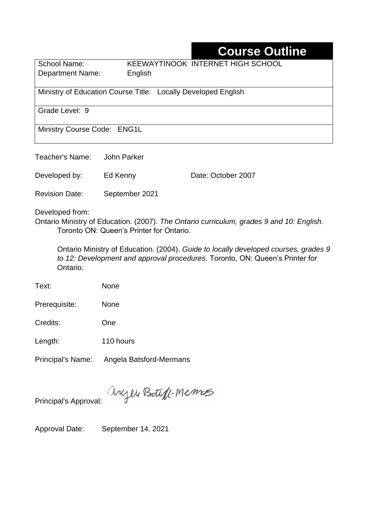# **Course Outline**

School Name: KEEWAYTINOOK INTERNET HIGH SCHOOL Department Name:English

Ministry of Education Course Title:Locally Developed English

Grade Level: 9

Ministry Course Code: ENG1L

Teacher's Name: John Parker Developed by: Ed Kenny Date: October 2007 Revision Date: September 2021

Developed from:

Ontario Ministry of Education. (2007). *The Ontario curriculum, grades 9 and 10: English.*  Toronto ON: Queen's Printer for Ontario.

Ontario Ministry of Education. (2004). *Guide to locally developed courses, grades 9 to 12: Development and approval procedures.* Toronto, ON: Queen's Printer for Ontario.

Text: None

Prerequisite: None

Credits: One

Length: 110 hours

Principal's Name: Angela Batsford-Mermans

anyen Boteff-Memos Principal's Approval:

Approval Date: September 14, 2021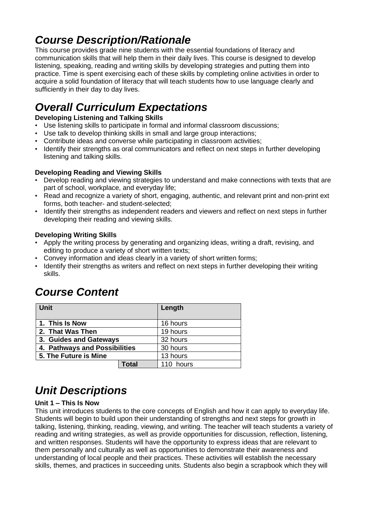# *Course Description/Rationale*

This course provides grade nine students with the essential foundations of literacy and communication skills that will help them in their daily lives. This course is designed to develop listening, speaking, reading and writing skills by developing strategies and putting them into practice. Time is spent exercising each of these skills by completing online activities in order to acquire a solid foundation of literacy that will teach students how to use language clearly and sufficiently in their day to day lives.

# *Overall Curriculum Expectations*

### **Developing Listening and Talking Skills**

- Use listening skills to participate in formal and informal classroom discussions;
- Use talk to develop thinking skills in small and large group interactions;
- Contribute ideas and converse while participating in classroom activities;
- Identify their strengths as oral communicators and reflect on next steps in further developing listening and talking skills.

### **Developing Reading and Viewing Skills**

- Develop reading and viewing strategies to understand and make connections with texts that are part of school, workplace, and everyday life;
- Read and recognize a variety of short, engaging, authentic, and relevant print and non-print ext forms, both teacher- and student-selected;
- Identify their strengths as independent readers and viewers and reflect on next steps in further developing their reading and viewing skills.

### **Developing Writing Skills**

- Apply the writing process by generating and organizing ideas, writing a draft, revising, and editing to produce a variety of short written texts;
- Convey information and ideas clearly in a variety of short written forms;
- Identify their strengths as writers and reflect on next steps in further developing their writing skills.

## *Course Content*

| <b>Unit</b>                   |       | Length    |
|-------------------------------|-------|-----------|
| 1. This Is Now                |       | 16 hours  |
| 2. That Was Then              |       | 19 hours  |
| 3. Guides and Gateways        |       | 32 hours  |
| 4. Pathways and Possibilities |       | 30 hours  |
| 5. The Future is Mine         |       | 13 hours  |
|                               | Total | 110 hours |

# *Unit Descriptions*

### **Unit 1 – This Is Now**

This unit introduces students to the core concepts of English and how it can apply to everyday life. Students will begin to build upon their understanding of strengths and next steps for growth in talking, listening, thinking, reading, viewing, and writing. The teacher will teach students a variety of reading and writing strategies, as well as provide opportunities for discussion, reflection, listening, and written responses. Students will have the opportunity to express ideas that are relevant to them personally and culturally as well as opportunities to demonstrate their awareness and understanding of local people and their practices. These activities will establish the necessary skills, themes, and practices in succeeding units. Students also begin a scrapbook which they will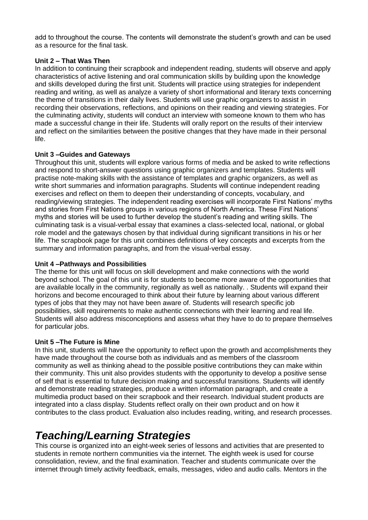add to throughout the course. The contents will demonstrate the student's growth and can be used as a resource for the final task.

#### **Unit 2 – That Was Then**

In addition to continuing their scrapbook and independent reading, students will observe and apply characteristics of active listening and oral communication skills by building upon the knowledge and skills developed during the first unit. Students will practice using strategies for independent reading and writing, as well as analyze a variety of short informational and literary texts concerning the theme of transitions in their daily lives. Students will use graphic organizers to assist in recording their observations, reflections, and opinions on their reading and viewing strategies. For the culminating activity, students will conduct an interview with someone known to them who has made a successful change in their life. Students will orally report on the results of their interview and reflect on the similarities between the positive changes that they have made in their personal life.

#### **Unit 3 –Guides and Gateways**

Throughout this unit, students will explore various forms of media and be asked to write reflections and respond to short-answer questions using graphic organizers and templates. Students will practise note-making skills with the assistance of templates and graphic organizers, as well as write short summaries and information paragraphs. Students will continue independent reading exercises and reflect on them to deepen their understanding of concepts, vocabulary, and reading/viewing strategies. The independent reading exercises will incorporate First Nations' myths and stories from First Nations groups in various regions of North America. These First Nations' myths and stories will be used to further develop the student's reading and writing skills. The culminating task is a visual-verbal essay that examines a class-selected local, national, or global role model and the gateways chosen by that individual during significant transitions in his or her life. The scrapbook page for this unit combines definitions of key concepts and excerpts from the summary and information paragraphs, and from the visual-verbal essay.

### **Unit 4 –Pathways and Possibilities**

The theme for this unit will focus on skill development and make connections with the world beyond school. The goal of this unit is for students to become more aware of the opportunities that are available locally in the community, regionally as well as nationally. . Students will expand their horizons and become encouraged to think about their future by learning about various different types of jobs that they may not have been aware of. Students will research specific job possibilities, skill requirements to make authentic connections with their learning and real life. Students will also address misconceptions and assess what they have to do to prepare themselves for particular jobs.

#### **Unit 5 –The Future is Mine**

In this unit, students will have the opportunity to reflect upon the growth and accomplishments they have made throughout the course both as individuals and as members of the classroom community as well as thinking ahead to the possible positive contributions they can make within their community. This unit also provides students with the opportunity to develop a positive sense of self that is essential to future decision making and successful transitions. Students will identify and demonstrate reading strategies, produce a written information paragraph, and create a multimedia product based on their scrapbook and their research. Individual student products are integrated into a class display. Students reflect orally on their own product and on how it contributes to the class product. Evaluation also includes reading, writing, and research processes.

## *Teaching/Learning Strategies*

This course is organized into an eight-week series of lessons and activities that are presented to students in remote northern communities via the internet. The eighth week is used for course consolidation, review, and the final examination. Teacher and students communicate over the internet through timely activity feedback, emails, messages, video and audio calls. Mentors in the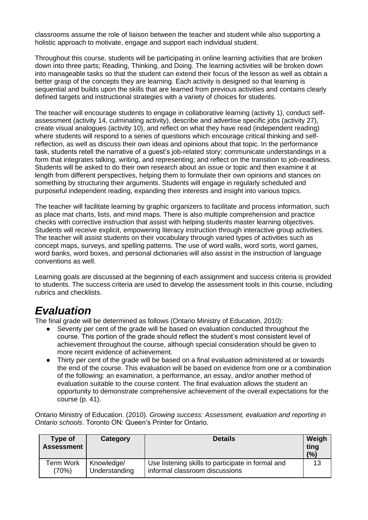classrooms assume the role of liaison between the teacher and student while also supporting a holistic approach to motivate, engage and support each individual student.

Throughout this course, students will be participating in online learning activities that are broken down into three parts; Reading, Thinking, and Doing. The learning activities will be broken down into manageable tasks so that the student can extend their focus of the lesson as well as obtain a better grasp of the concepts they are learning. Each activity is designed so that learning is sequential and builds upon the skills that are learned from previous activities and contains clearly defined targets and instructional strategies with a variety of choices for students.

The teacher will encourage students to engage in collaborative learning (activity 1), conduct selfassessment (activity 14, culminating activity), describe and advertise specific jobs (activity 27), create visual analogues (activity 10), and reflect on what they have read (independent reading) where students will respond to a series of questions which encourage critical thinking and selfreflection, as well as discuss their own ideas and opinions about that topic. In the performance task, students retell the narrative of a guest's job-related story; communicate understandings in a form that integrates talking, writing, and representing; and reflect on the transition to job-readiness. Students will be asked to do their own research about an issue or topic and then examine it at length from different perspectives, helping them to formulate their own opinions and stances on something by structuring their arguments. Students will engage in regularly scheduled and purposeful independent reading, expanding their interests and insight into various topics.

The teacher will facilitate learning by graphic organizers to facilitate and process information, such as place mat charts, lists, and mind maps. There is also multiple comprehension and practice checks with corrective instruction that assist with helping students master learning objectives. Students will receive explicit, empowering literacy instruction through interactive group activities. The teacher will assist students on their vocabulary through varied types of activities such as concept maps, surveys, and spelling patterns. The use of word walls, word sorts, word games, word banks, word boxes, and personal dictionaries will also assist in the instruction of language conventions as well.

Learning goals are discussed at the beginning of each assignment and success criteria is provided to students. The success criteria are used to develop the assessment tools in this course, including rubrics and checklists.

## *Evaluation*

The final grade will be determined as follows (Ontario Ministry of Education, 2010):

- Seventy per cent of the grade will be based on evaluation conducted throughout the course. This portion of the grade should reflect the student's most consistent level of achievement throughout the course, although special consideration should be given to more recent evidence of achievement.
- Thirty per cent of the grade will be based on a final evaluation administered at or towards the end of the course. This evaluation will be based on evidence from one or a combination of the following: an examination, a performance, an essay, and/or another method of evaluation suitable to the course content. The final evaluation allows the student an opportunity to demonstrate comprehensive achievement of the overall expectations for the course (p. 41).

Ontario Ministry of Education. (2010). *Growing success: Assessment, evaluation and reporting in Ontario schools*. Toronto ON: Queen's Printer for Ontario.

| Type of<br><b>Assessment</b> | Category      | <b>Details</b>                                    | Weigh<br>ting<br>(%) |
|------------------------------|---------------|---------------------------------------------------|----------------------|
| Term Work                    | Knowledge/    | Use listening skills to participate in formal and | 13                   |
| (70%)                        | Understanding | informal classroom discussions                    |                      |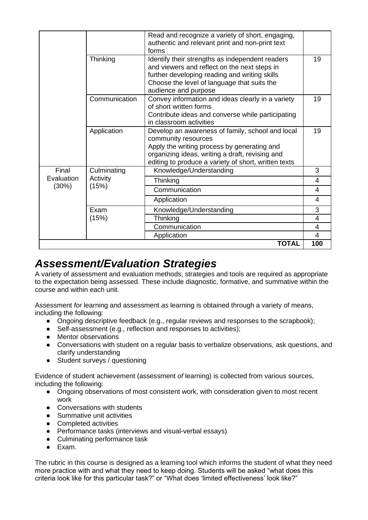|                              |                                  | Read and recognize a variety of short, engaging,<br>authentic and relevant print and non-print text<br>forms                                                                                                                      |        |
|------------------------------|----------------------------------|-----------------------------------------------------------------------------------------------------------------------------------------------------------------------------------------------------------------------------------|--------|
|                              | Thinking                         | Identify their strengths as independent readers<br>and viewers and reflect on the next steps in<br>further developing reading and writing skills<br>Choose the level of language that suits the<br>audience and purpose           | 19     |
|                              | Communication                    | Convey information and ideas clearly in a variety<br>of short written forms<br>Contribute ideas and converse while participating<br>in classroom activities                                                                       | 19     |
|                              | Application                      | Develop an awareness of family, school and local<br>community resources<br>Apply the writing process by generating and<br>organizing ideas, writing a draft, revising and<br>editing to produce a variety of short, written texts | 19     |
| Final<br>Evaluation<br>(30%) | Culminating<br>Activity<br>(15%) | Knowledge/Understanding                                                                                                                                                                                                           | 3      |
|                              |                                  | Thinking                                                                                                                                                                                                                          | 4      |
|                              |                                  | Communication                                                                                                                                                                                                                     | 4      |
|                              |                                  | Application                                                                                                                                                                                                                       | 4      |
|                              | Exam<br>(15%)                    | Knowledge/Understanding                                                                                                                                                                                                           | 3      |
|                              |                                  | Thinking                                                                                                                                                                                                                          | 4      |
|                              |                                  | Communication<br>Application                                                                                                                                                                                                      | 4<br>4 |
|                              |                                  | TOTAL                                                                                                                                                                                                                             | 100    |

## *Assessment/Evaluation Strategies*

A variety of assessment and evaluation methods, strategies and tools are required as appropriate to the expectation being assessed. These include diagnostic, formative, and summative within the course and within each unit.

Assessment *for* learning and assessment *as* learning is obtained through a variety of means, including the following:

- Ongoing descriptive feedback (e.g., regular reviews and responses to the scrapbook);
- Self-assessment (e.g., reflection and responses to activities):
- Mentor observations
- Conversations with student on a regular basis to verbalize observations, ask questions, and clarify understanding
- Student surveys / questioning

Evidence of student achievement (assessment *of* learning) is collected from various sources, including the following:

- Ongoing observations of most consistent work, with consideration given to most recent work
- Conversations with students
- Summative unit activities
- Completed activities
- Performance tasks (interviews and visual-verbal essays)
- Culminating performance task
- Exam.

The rubric in this course is designed as a learning tool which informs the student of what they need more practice with and what they need to keep doing. Students will be asked "what does this criteria look like for this particular task?" or "What does 'limited effectiveness' look like?"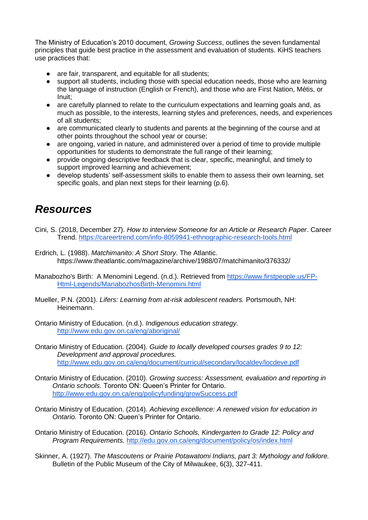The Ministry of Education's 2010 document, *Growing Success*, outlines the seven fundamental principles that guide best practice in the assessment and evaluation of students. KiHS teachers use practices that:

- are fair, transparent, and equitable for all students:
- support all students, including those with special education needs, those who are learning the language of instruction (English or French), and those who are First Nation, Métis, or Inuit;
- are carefully planned to relate to the curriculum expectations and learning goals and, as much as possible, to the interests, learning styles and preferences, needs, and experiences of all students;
- are communicated clearly to students and parents at the beginning of the course and at other points throughout the school year or course;
- are ongoing, varied in nature, and administered over a period of time to provide multiple opportunities for students to demonstrate the full range of their learning;
- provide ongoing descriptive feedback that is clear, specific, meaningful, and timely to support improved learning and achievement;
- develop students' self-assessment skills to enable them to assess their own learning, set specific goals, and plan next steps for their learning (p.6).

## *Resources*

- Cini, S. (2018, December 27). *How to interview Someone for an Article or Research Paper*. Career Trend.<https://careertrend.com/info-8059941-ethnographic-research-tools.html>
- Erdrich, L. (1988). *Matchimanito: A Short Story*. The Atlantic. https://www.theatlantic.com/magazine/archive/1988/07/matchimanito/376332/
- Manabozho's Birth: A Menomini Legend. (n.d.). Retrieved from [https://www.firstpeople.us/FP-](https://www.firstpeople.us/FP-Html-Legends/ManabozhosBirth-Menomini.html)[Html-Legends/ManabozhosBirth-Menomini.html](https://www.firstpeople.us/FP-Html-Legends/ManabozhosBirth-Menomini.html)
- Mueller, P.N. (2001). *Lifers: Learning from at-risk adolescent readers.* Portsmouth, NH: Heinemann.
- Ontario Ministry of Education. (n.d.). *Indigenous education strategy.* <http://www.edu.gov.on.ca/eng/aboriginal/>
- Ontario Ministry of Education. (2004). *Guide to locally developed courses grades 9 to 12: Development and approval procedures.*  <http://www.edu.gov.on.ca/eng/document/curricul/secondary/localdev/locdeve.pdf>
- Ontario Ministry of Education. (2010). *Growing success: Assessment, evaluation and reporting in Ontario schools*. Toronto ON: Queen's Printer for Ontario. <http://www.edu.gov.on.ca/eng/policyfunding/growSuccess.pdf>
- Ontario Ministry of Education. (2014). *Achieving excellence: A renewed vision for education in Ontario.* Toronto ON: Queen's Printer for Ontario.
- Ontario Ministry of Education. (2016). *Ontario Schools, Kindergarten to Grade 12: Policy and Program Requirements.* <http://edu.gov.on.ca/eng/document/policy/os/index.html>
- Skinner, A. (1927). *The Mascoutens or Prairie Potawatomi Indians, part 3: Mythology and folklore.*  Bulletin of the Public Museum of the City of Milwaukee, 6(3), 327-411.